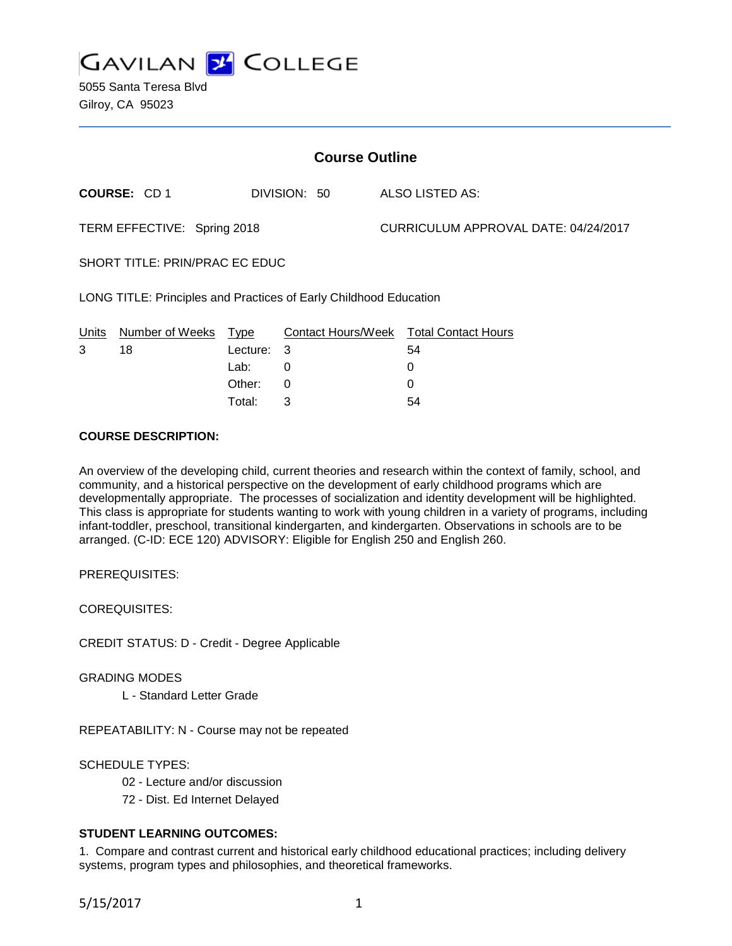

5055 Santa Teresa Blvd Gilroy, CA 95023

| <b>Course Outline</b>                                             |                     |          |              |  |                                        |  |
|-------------------------------------------------------------------|---------------------|----------|--------------|--|----------------------------------------|--|
|                                                                   | <b>COURSE: CD 1</b> |          | DIVISION: 50 |  | <b>ALSO LISTED AS:</b>                 |  |
| TERM EFFECTIVE: Spring 2018                                       |                     |          |              |  | CURRICULUM APPROVAL DATE: 04/24/2017   |  |
| SHORT TITLE: PRIN/PRAC EC EDUC                                    |                     |          |              |  |                                        |  |
| LONG TITLE: Principles and Practices of Early Childhood Education |                     |          |              |  |                                        |  |
| Units                                                             | Number of Weeks     | Type     |              |  | Contact Hours/Week Total Contact Hours |  |
| 3                                                                 | 18                  | Lecture: | 3            |  | 54                                     |  |
|                                                                   |                     | Lab:     | 0            |  | 0                                      |  |
|                                                                   |                     | Other:   | $\Omega$     |  | 0                                      |  |
|                                                                   |                     | Total:   | 3            |  | 54                                     |  |

# **COURSE DESCRIPTION:**

An overview of the developing child, current theories and research within the context of family, school, and community, and a historical perspective on the development of early childhood programs which are developmentally appropriate. The processes of socialization and identity development will be highlighted. This class is appropriate for students wanting to work with young children in a variety of programs, including infant-toddler, preschool, transitional kindergarten, and kindergarten. Observations in schools are to be arranged. (C-ID: ECE 120) ADVISORY: Eligible for English 250 and English 260.

PREREQUISITES:

COREQUISITES:

CREDIT STATUS: D - Credit - Degree Applicable

GRADING MODES

L - Standard Letter Grade

REPEATABILITY: N - Course may not be repeated

SCHEDULE TYPES:

- 02 Lecture and/or discussion
- 72 Dist. Ed Internet Delayed

## **STUDENT LEARNING OUTCOMES:**

1. Compare and contrast current and historical early childhood educational practices; including delivery systems, program types and philosophies, and theoretical frameworks.

5/15/2017 1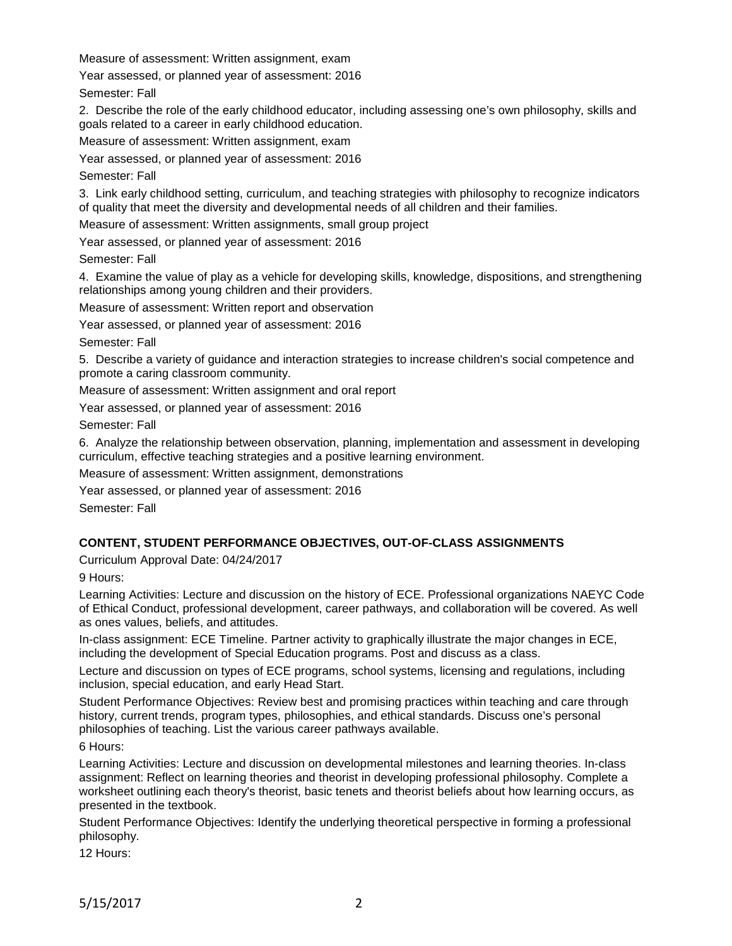Measure of assessment: Written assignment, exam

Year assessed, or planned year of assessment: 2016

Semester: Fall

2. Describe the role of the early childhood educator, including assessing one's own philosophy, skills and goals related to a career in early childhood education.

Measure of assessment: Written assignment, exam

Year assessed, or planned year of assessment: 2016

Semester: Fall

3. Link early childhood setting, curriculum, and teaching strategies with philosophy to recognize indicators of quality that meet the diversity and developmental needs of all children and their families.

Measure of assessment: Written assignments, small group project

Year assessed, or planned year of assessment: 2016

Semester: Fall

4. Examine the value of play as a vehicle for developing skills, knowledge, dispositions, and strengthening relationships among young children and their providers.

Measure of assessment: Written report and observation

Year assessed, or planned year of assessment: 2016

Semester: Fall

5. Describe a variety of guidance and interaction strategies to increase children's social competence and promote a caring classroom community.

Measure of assessment: Written assignment and oral report

Year assessed, or planned year of assessment: 2016

Semester: Fall

6. Analyze the relationship between observation, planning, implementation and assessment in developing curriculum, effective teaching strategies and a positive learning environment.

Measure of assessment: Written assignment, demonstrations

Year assessed, or planned year of assessment: 2016

Semester: Fall

## **CONTENT, STUDENT PERFORMANCE OBJECTIVES, OUT-OF-CLASS ASSIGNMENTS**

Curriculum Approval Date: 04/24/2017

9 Hours:

Learning Activities: Lecture and discussion on the history of ECE. Professional organizations NAEYC Code of Ethical Conduct, professional development, career pathways, and collaboration will be covered. As well as ones values, beliefs, and attitudes.

In-class assignment: ECE Timeline. Partner activity to graphically illustrate the major changes in ECE, including the development of Special Education programs. Post and discuss as a class.

Lecture and discussion on types of ECE programs, school systems, licensing and regulations, including inclusion, special education, and early Head Start.

Student Performance Objectives: Review best and promising practices within teaching and care through history, current trends, program types, philosophies, and ethical standards. Discuss one's personal philosophies of teaching. List the various career pathways available.

6 Hours:

Learning Activities: Lecture and discussion on developmental milestones and learning theories. In-class assignment: Reflect on learning theories and theorist in developing professional philosophy. Complete a worksheet outlining each theory's theorist, basic tenets and theorist beliefs about how learning occurs, as presented in the textbook.

Student Performance Objectives: Identify the underlying theoretical perspective in forming a professional philosophy.

12 Hours: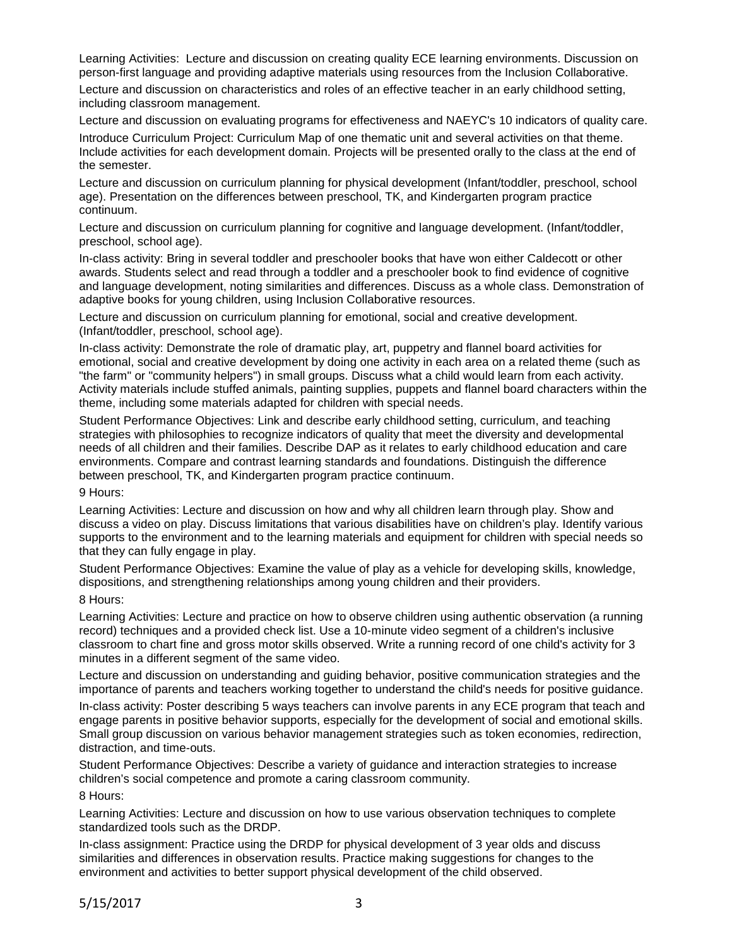Learning Activities: Lecture and discussion on creating quality ECE learning environments. Discussion on person-first language and providing adaptive materials using resources from the Inclusion Collaborative.

Lecture and discussion on characteristics and roles of an effective teacher in an early childhood setting, including classroom management.

Lecture and discussion on evaluating programs for effectiveness and NAEYC's 10 indicators of quality care.

Introduce Curriculum Project: Curriculum Map of one thematic unit and several activities on that theme. Include activities for each development domain. Projects will be presented orally to the class at the end of the semester.

Lecture and discussion on curriculum planning for physical development (Infant/toddler, preschool, school age). Presentation on the differences between preschool, TK, and Kindergarten program practice continuum.

Lecture and discussion on curriculum planning for cognitive and language development. (Infant/toddler, preschool, school age).

In-class activity: Bring in several toddler and preschooler books that have won either Caldecott or other awards. Students select and read through a toddler and a preschooler book to find evidence of cognitive and language development, noting similarities and differences. Discuss as a whole class. Demonstration of adaptive books for young children, using Inclusion Collaborative resources.

Lecture and discussion on curriculum planning for emotional, social and creative development. (Infant/toddler, preschool, school age).

In-class activity: Demonstrate the role of dramatic play, art, puppetry and flannel board activities for emotional, social and creative development by doing one activity in each area on a related theme (such as "the farm" or "community helpers") in small groups. Discuss what a child would learn from each activity. Activity materials include stuffed animals, painting supplies, puppets and flannel board characters within the theme, including some materials adapted for children with special needs.

Student Performance Objectives: Link and describe early childhood setting, curriculum, and teaching strategies with philosophies to recognize indicators of quality that meet the diversity and developmental needs of all children and their families. Describe DAP as it relates to early childhood education and care environments. Compare and contrast learning standards and foundations. Distinguish the difference between preschool, TK, and Kindergarten program practice continuum.

#### 9 Hours:

Learning Activities: Lecture and discussion on how and why all children learn through play. Show and discuss a video on play. Discuss limitations that various disabilities have on children's play. Identify various supports to the environment and to the learning materials and equipment for children with special needs so that they can fully engage in play.

Student Performance Objectives: Examine the value of play as a vehicle for developing skills, knowledge, dispositions, and strengthening relationships among young children and their providers.

#### 8 Hours:

Learning Activities: Lecture and practice on how to observe children using authentic observation (a running record) techniques and a provided check list. Use a 10-minute video segment of a children's inclusive classroom to chart fine and gross motor skills observed. Write a running record of one child's activity for 3 minutes in a different segment of the same video.

Lecture and discussion on understanding and guiding behavior, positive communication strategies and the importance of parents and teachers working together to understand the child's needs for positive guidance.

In-class activity: Poster describing 5 ways teachers can involve parents in any ECE program that teach and engage parents in positive behavior supports, especially for the development of social and emotional skills. Small group discussion on various behavior management strategies such as token economies, redirection, distraction, and time-outs.

Student Performance Objectives: Describe a variety of guidance and interaction strategies to increase children's social competence and promote a caring classroom community.

8 Hours:

Learning Activities: Lecture and discussion on how to use various observation techniques to complete standardized tools such as the DRDP.

In-class assignment: Practice using the DRDP for physical development of 3 year olds and discuss similarities and differences in observation results. Practice making suggestions for changes to the environment and activities to better support physical development of the child observed.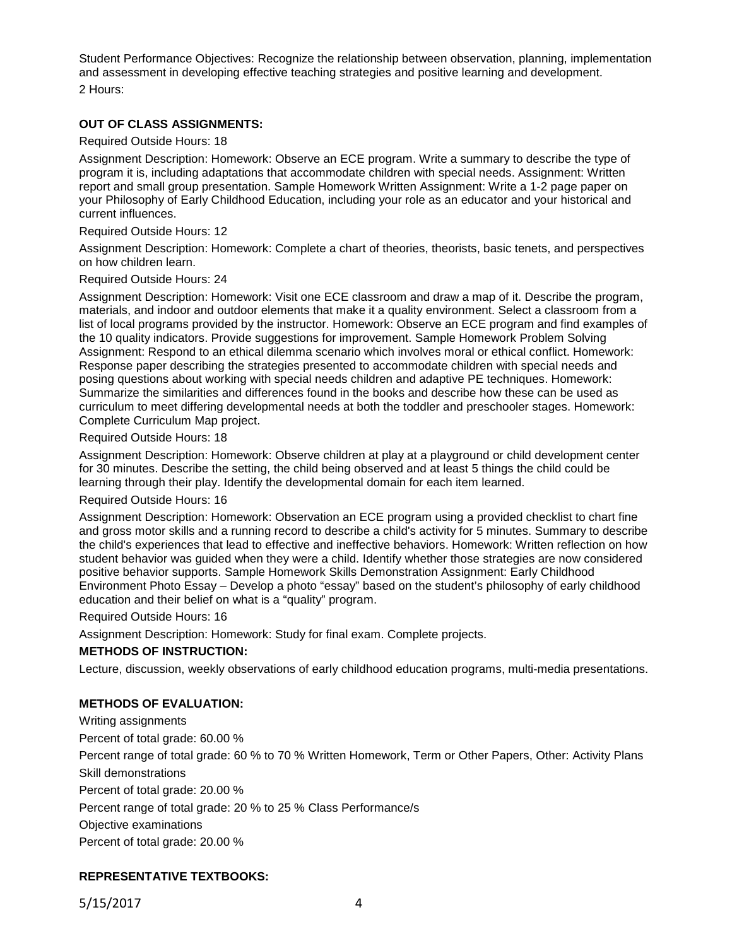Student Performance Objectives: Recognize the relationship between observation, planning, implementation and assessment in developing effective teaching strategies and positive learning and development.

2 Hours:

# **OUT OF CLASS ASSIGNMENTS:**

### Required Outside Hours: 18

Assignment Description: Homework: Observe an ECE program. Write a summary to describe the type of program it is, including adaptations that accommodate children with special needs. Assignment: Written report and small group presentation. Sample Homework Written Assignment: Write a 1-2 page paper on your Philosophy of Early Childhood Education, including your role as an educator and your historical and current influences.

### Required Outside Hours: 12

Assignment Description: Homework: Complete a chart of theories, theorists, basic tenets, and perspectives on how children learn.

### Required Outside Hours: 24

Assignment Description: Homework: Visit one ECE classroom and draw a map of it. Describe the program, materials, and indoor and outdoor elements that make it a quality environment. Select a classroom from a list of local programs provided by the instructor. Homework: Observe an ECE program and find examples of the 10 quality indicators. Provide suggestions for improvement. Sample Homework Problem Solving Assignment: Respond to an ethical dilemma scenario which involves moral or ethical conflict. Homework: Response paper describing the strategies presented to accommodate children with special needs and posing questions about working with special needs children and adaptive PE techniques. Homework: Summarize the similarities and differences found in the books and describe how these can be used as curriculum to meet differing developmental needs at both the toddler and preschooler stages. Homework: Complete Curriculum Map project.

### Required Outside Hours: 18

Assignment Description: Homework: Observe children at play at a playground or child development center for 30 minutes. Describe the setting, the child being observed and at least 5 things the child could be learning through their play. Identify the developmental domain for each item learned.

## Required Outside Hours: 16

Assignment Description: Homework: Observation an ECE program using a provided checklist to chart fine and gross motor skills and a running record to describe a child's activity for 5 minutes. Summary to describe the child's experiences that lead to effective and ineffective behaviors. Homework: Written reflection on how student behavior was guided when they were a child. Identify whether those strategies are now considered positive behavior supports. Sample Homework Skills Demonstration Assignment: Early Childhood Environment Photo Essay – Develop a photo "essay" based on the student's philosophy of early childhood education and their belief on what is a "quality" program.

Required Outside Hours: 16

Assignment Description: Homework: Study for final exam. Complete projects.

## **METHODS OF INSTRUCTION:**

Lecture, discussion, weekly observations of early childhood education programs, multi-media presentations.

# **METHODS OF EVALUATION:**

Writing assignments Percent of total grade: 60.00 % Percent range of total grade: 60 % to 70 % Written Homework, Term or Other Papers, Other: Activity Plans Skill demonstrations Percent of total grade: 20.00 % Percent range of total grade: 20 % to 25 % Class Performance/s Objective examinations Percent of total grade: 20.00 %

# **REPRESENTATIVE TEXTBOOKS:**